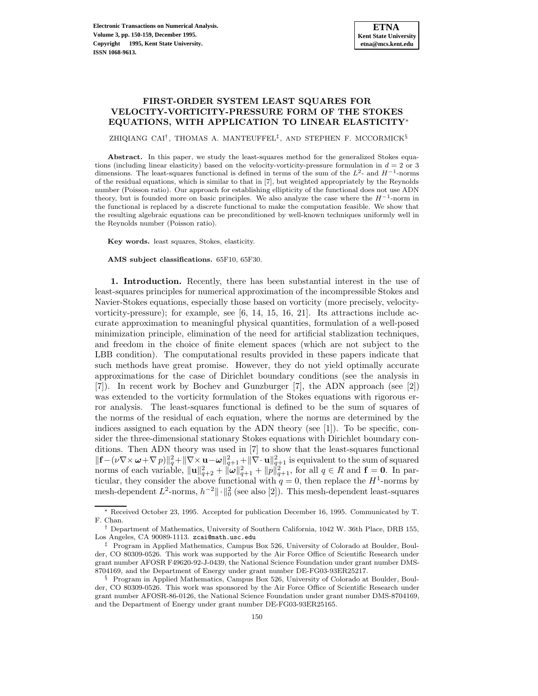## **FIRST-ORDER SYSTEM LEAST SQUARES FOR VELOCITY-VORTICITY-PRESSURE FORM OF THE STOKES EQUATIONS, WITH APPLICATION TO LINEAR ELASTICITY**<sup>∗</sup>

ZHIQIANG CAI<sup>†</sup>, THOMAS A. MANTEUFFEL<sup>‡</sup>, AND STEPHEN F. MCCORMICK<sup>§</sup>

Abstract. In this paper, we study the least-squares method for the generalized Stokes equations (including linear elasticity) based on the velocity-vorticity-pressure formulation in  $d = 2$  or 3 dimensions. The least-squares functional is defined in terms of the sum of the  $L^2$ - and  $H^{-1}$ -norms of the residual equations, which is similar to that in [7], but weighted appropriately by the Reynolds number (Poisson ratio). Our approach for establishing ellipticity of the functional does not use ADN theory, but is founded more on basic principles. We also analyze the case where the  $H^{-1}$ -norm in the functional is replaced by a discrete functional to make the computation feasible. We show that the resulting algebraic equations can be preconditioned by well-known techniques uniformly well in the Reynolds number (Poisson ratio).

**Key words.** least squares, Stokes, elasticity.

## **AMS subject classifications.** 65F10, 65F30.

**1. Introduction.** Recently, there has been substantial interest in the use of least-squares principles for numerical approximation of the incompressible Stokes and Navier-Stokes equations, especially those based on vorticity (more precisely, velocityvorticity-pressure); for example, see [6, 14, 15, 16, 21]. Its attractions include accurate approximation to meaningful physical quantities, formulation of a well-posed minimization principle, elimination of the need for artificial stablization techniques, and freedom in the choice of finite element spaces (which are not subject to the LBB condition). The computational results provided in these papers indicate that such methods have great promise. However, they do not yield optimally accurate approximations for the case of Dirichlet boundary conditions (see the analysis in [7]). In recent work by Bochev and Gunzburger [7], the ADN approach (see [2]) was extended to the vorticity formulation of the Stokes equations with rigorous error analysis. The least-squares functional is defined to be the sum of squares of the norms of the residual of each equation, where the norms are determined by the indices assigned to each equation by the ADN theory (see  $[1]$ ). To be specific, consider the three-dimensional stationary Stokes equations with Dirichlet boundary conditions. Then ADN theory was used in [7] to show that the least-squares functional  $\|\mathbf{f} - (\nu \nabla \times \boldsymbol{\omega} + \nabla p)\|_q^2 + \|\nabla \times \mathbf{u} - \boldsymbol{\omega}\|_{q+1}^2 + \|\nabla \cdot \mathbf{u}\|_{q+1}^2$  is equivalent to the sum of squared norms of each variable,  $||\mathbf{u}||_{q+2}^2 + ||\omega||_{q+1}^2 + ||p||_{q+1}^2$ , for all  $q \in R$  and  $\mathbf{f} = \mathbf{0}$ . In particular, they consider the above functional with  $q = 0$ , then replace the  $H^1$ -norms by mesh-dependent  $L^2$ -norms,  $h^{-2} \|\cdot\|_0^2$  (see also [2]). This mesh-dependent least-squares

<sup>∗</sup> Received October 23, 1995. Accepted for publication December 16, 1995. Communicated by T. F. Chan.

<sup>†</sup> Department of Mathematics, University of Southern California, 1042 W. 36th Place, DRB 155, Los Angeles, CA 90089-1113. zcai@math.usc.edu

<sup>‡</sup> Program in Applied Mathematics, Campus Box 526, University of Colorado at Boulder, Boulder, CO 80309-0526. This work was supported by the Air Force Office of Scientific Research under grant number AFOSR F49620-92-J-0439, the National Science Foundation under grant number DMS-8704169, and the Department of Energy under grant number DE-FG03-93ER25217.

<sup>§</sup> Program in Applied Mathematics, Campus Box 526, University of Colorado at Boulder, Boulder, CO 80309-0526. This work was sponsored by the Air Force Office of Scientific Research under grant number AFOSR-86-0126, the National Science Foundation under grant number DMS-8704169, and the Department of Energy under grant number DE-FG03-93ER25165.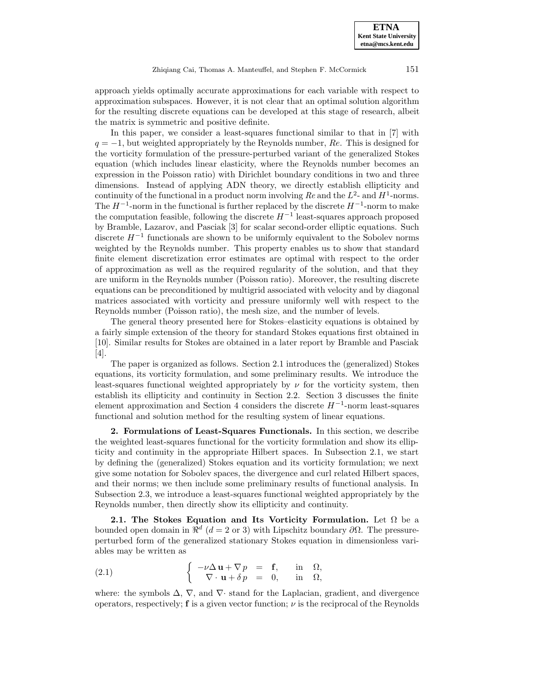approach yields optimally accurate approximations for each variable with respect to approximation subspaces. However, it is not clear that an optimal solution algorithm for the resulting discrete equations can be developed at this stage of research, albeit the matrix is symmetric and positive definite.

In this paper, we consider a least-squares functional similar to that in [7] with  $q = -1$ , but weighted appropriately by the Reynolds number, Re. This is designed for the vorticity formulation of the pressure-perturbed variant of the generalized Stokes equation (which includes linear elasticity, where the Reynolds number becomes an expression in the Poisson ratio) with Dirichlet boundary conditions in two and three dimensions. Instead of applying ADN theory, we directly establish ellipticity and continuity of the functional in a product norm involving  $Re$  and the  $L^2$ - and  $H^1$ -norms. The  $H^{-1}$ -norm in the functional is further replaced by the discrete  $H^{-1}$ -norm to make the computation feasible, following the discrete  $H^{-1}$  least-squares approach proposed by Bramble, Lazarov, and Pasciak [3] for scalar second-order elliptic equations. Such discrete  $H^{-1}$  functionals are shown to be uniformly equivalent to the Sobolev norms weighted by the Reynolds number. This property enables us to show that standard finite element discretization error estimates are optimal with respect to the order of approximation as well as the required regularity of the solution, and that they are uniform in the Reynolds number (Poisson ratio). Moreover, the resulting discrete equations can be preconditioned by multigrid associated with velocity and by diagonal matrices associated with vorticity and pressure uniformly well with respect to the Reynolds number (Poisson ratio), the mesh size, and the number of levels.

The general theory presented here for Stokes–elasticity equations is obtained by a fairly simple extension of the theory for standard Stokes equations first obtained in [10]. Similar results for Stokes are obtained in a later report by Bramble and Pasciak [4].

The paper is organized as follows. Section 2.1 introduces the (generalized) Stokes equations, its vorticity formulation, and some preliminary results. We introduce the least-squares functional weighted appropriately by  $\nu$  for the vorticity system, then establish its ellipticity and continuity in Section 2.2. Section 3 discusses the finite element approximation and Section 4 considers the discrete  $H^{-1}$ -norm least-squares functional and solution method for the resulting system of linear equations.

**2. Formulations of Least-Squares Functionals.** In this section, we describe the weighted least-squares functional for the vorticity formulation and show its ellipticity and continuity in the appropriate Hilbert spaces. In Subsection 2.1, we start by defining the (generalized) Stokes equation and its vorticity formulation; we next give some notation for Sobolev spaces, the divergence and curl related Hilbert spaces, and their norms; we then include some preliminary results of functional analysis. In Subsection 2.3, we introduce a least-squares functional weighted appropriately by the Reynolds number, then directly show its ellipticity and continuity.

**2.1. The Stokes Equation and Its Vorticity Formulation.** Let  $\Omega$  be a bounded open domain in  $\mathbb{R}^d$  (d = 2 or 3) with Lipschitz boundary ∂Ω. The pressureperturbed form of the generalized stationary Stokes equation in dimensionless variables may be written as

(2.1) 
$$
\begin{cases}\n-\nu \Delta \mathbf{u} + \nabla p = \mathbf{f}, & \text{in } \Omega, \\
\nabla \cdot \mathbf{u} + \delta p = 0, & \text{in } \Omega,\n\end{cases}
$$

where: the symbols  $\Delta$ ,  $\nabla$ , and  $\nabla$  stand for the Laplacian, gradient, and divergence operators, respectively; **f** is a given vector function;  $\nu$  is the reciprocal of the Reynolds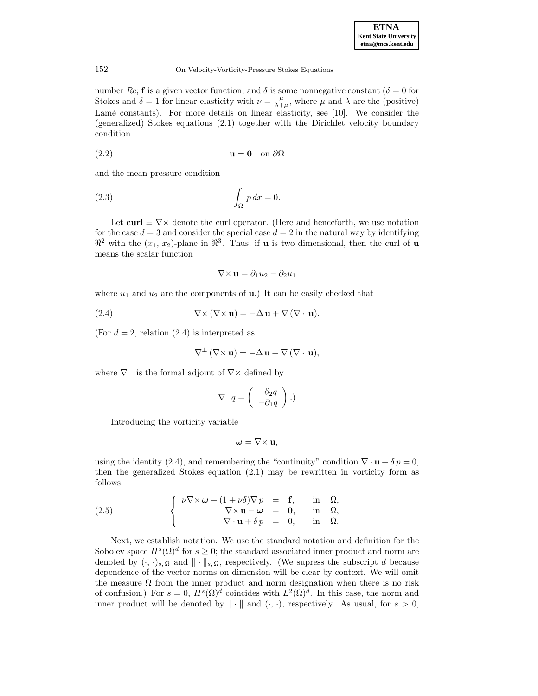number Re; **f** is a given vector function; and  $\delta$  is some nonnegative constant ( $\delta = 0$  for Stokes and  $\delta = 1$  for linear elasticity with  $\nu = \frac{\mu}{\lambda + \mu}$ , where  $\mu$  and  $\lambda$  are the (positive) Lamé constants). For more details on linear elasticity, see [10]. We consider the (generalized) Stokes equations (2.1) together with the Dirichlet velocity boundary condition

(2.2) **u** = **0** on ∂Ω

and the mean pressure condition

$$
\int_{\Omega} p \, dx = 0.
$$

Let **curl**  $\equiv \nabla \times$  denote the curl operator. (Here and henceforth, we use notation for the case  $d = 3$  and consider the special case  $d = 2$  in the natural way by identifying  $\mathbb{R}^2$  with the  $(x_1, x_2)$ -plane in  $\mathbb{R}^3$ . Thus, if **u** is two dimensional, then the curl of **u** means the scalar function

$$
\nabla \times \mathbf{u} = \partial_1 u_2 - \partial_2 u_1
$$

where  $u_1$  and  $u_2$  are the components of **u**.) It can be easily checked that

(2.4) 
$$
\nabla \times (\nabla \times \mathbf{u}) = -\Delta \mathbf{u} + \nabla (\nabla \cdot \mathbf{u}).
$$

(For  $d = 2$ , relation  $(2.4)$ ) is interpreted as

$$
\nabla^{\perp} (\nabla \times \mathbf{u}) = -\Delta \mathbf{u} + \nabla (\nabla \cdot \mathbf{u}),
$$

where  $\nabla^{\perp}$  is the formal adjoint of  $\nabla \times$  defined by

$$
\nabla^{\perp} q = \begin{pmatrix} \partial_2 q \\ -\partial_1 q \end{pmatrix} .
$$

Introducing the vorticity variable

$$
\boldsymbol{\omega} = \nabla \times \mathbf{u},
$$

using the identity (2.4), and remembering the "continuity" condition  $\nabla \cdot \mathbf{u} + \delta p = 0$ , then the generalized Stokes equation (2.1) may be rewritten in vorticity form as follows:

(2.5) 
$$
\begin{cases} \nu \nabla \times \boldsymbol{\omega} + (1 + \nu \delta) \nabla p = \mathbf{f}, & \text{in } \Omega, \\ \nabla \times \mathbf{u} - \boldsymbol{\omega} = \mathbf{0}, & \text{in } \Omega, \\ \nabla \cdot \mathbf{u} + \delta p = 0, & \text{in } \Omega. \end{cases}
$$

Next, we establish notation. We use the standard notation and definition for the Sobolev space  $H^s(\Omega)^d$  for  $s \geq 0$ ; the standard associated inner product and norm are denoted by  $(\cdot, \cdot)_{s,\Omega}$  and  $\|\cdot\|_{s,\Omega}$ , respectively. (We supress the subscript d because dependence of the vector norms on dimension will be clear by context. We will omit the measure  $\Omega$  from the inner product and norm designation when there is no risk of confusion.) For  $s = 0$ ,  $H<sup>s</sup>(\Omega)<sup>d</sup>$  coincides with  $L<sup>2</sup>(\Omega)<sup>d</sup>$ . In this case, the norm and inner product will be denoted by  $\|\cdot\|$  and  $(\cdot, \cdot)$ , respectively. As usual, for  $s > 0$ ,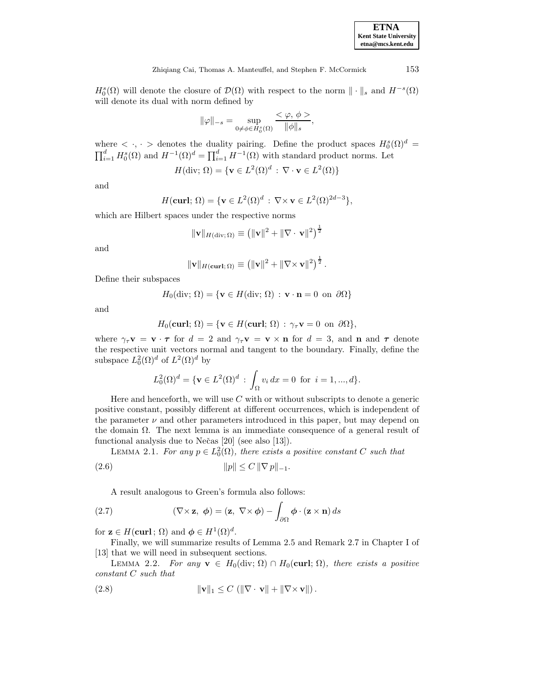| <b>ETNA</b>                  |
|------------------------------|
| <b>Kent State University</b> |
| etna@mcs.kent.edu            |

Zhiqiang Cai, Thomas A. Manteuffel, and Stephen F. McCormick 153

 $H_0^s(\Omega)$  will denote the closure of  $\mathcal{D}(\Omega)$  with respect to the norm  $\|\cdot\|_s$  and  $H^{-s}(\Omega)$ will denote its dual with norm defined by

$$
\|\varphi\|_{-s} = \sup_{0 \neq \phi \in H_0^s(\Omega)} \frac{<\varphi, \phi>}{\|\phi\|_s},
$$

where  $\langle \cdot, \cdot \rangle$  denotes the duality pairing. Define the product spaces  $H_0^s(\Omega)^d = \prod_{i=1}^d H_0^s(\Omega)$  and  $H^{-1}(\Omega)^d = \prod_{i=1}^d H^{-1}(\Omega)$  with standard product norms. Let  $\prod_{i=1}^d H_0^s(\Omega)$  and  $H^{-1}(\Omega)^d = \prod_{i=1}^d H^{-1}(\Omega)$  with standard product norms. Let

$$
H(\text{div}; \Omega) = \{ \mathbf{v} \in L^2(\Omega)^d \, : \, \nabla \cdot \mathbf{v} \in L^2(\Omega) \}
$$

and

$$
H(\mathbf{curl};\,\Omega)=\{\mathbf{v}\in L^2(\Omega)^d\,:\,\nabla\times\mathbf{v}\in L^2(\Omega)^{2d-3}\},\,
$$

which are Hilbert spaces under the respective norms

$$
\|\mathbf{v}\|_{H(\text{div};\Omega)} \equiv \left(\|\mathbf{v}\|^2 + \|\nabla \cdot \mathbf{v}\|^2\right)^{\frac{1}{2}}
$$

and

$$
\|\mathbf{v}\|_{H(\mathbf{curl};\Omega)} \equiv \left(\|\mathbf{v}\|^2 + \|\nabla \times \mathbf{v}\|^2\right)^{\frac{1}{2}}.
$$

Define their subspaces

$$
H_0(\text{div}; \Omega) = \{ \mathbf{v} \in H(\text{div}; \Omega) : \mathbf{v} \cdot \mathbf{n} = 0 \text{ on } \partial \Omega \}
$$

and

$$
H_0(\text{curl};\,\Omega)=\{\mathbf{v}\in H(\text{curl};\,\Omega)\,:\,\gamma_\tau\mathbf{v}=0\ \, \text{on}\ \, \partial\Omega\},
$$

where  $\gamma_{\tau} \mathbf{v} = \mathbf{v} \cdot \boldsymbol{\tau}$  for  $d = 2$  and  $\gamma_{\tau} \mathbf{v} = \mathbf{v} \times \mathbf{n}$  for  $d = 3$ , and **n** and  $\boldsymbol{\tau}$  denote the respective unit vectors normal and tangent to the boundary. Finally, define the subspace  $L_0^2(\Omega)^d$  of  $L^2(\Omega)^d$  by

$$
L_0^2(\Omega)^d = \{ \mathbf{v} \in L^2(\Omega)^d \, : \, \int_{\Omega} v_i \, dx = 0 \, \text{ for } i = 1, ..., d \}.
$$

Here and henceforth, we will use  $C$  with or without subscripts to denote a generic positive constant, possibly different at different occurrences, which is independent of the parameter  $\nu$  and other parameters introduced in this paper, but may depend on the domain Ω. The next lemma is an immediate consequence of a general result of functional analysis due to Nečas [20] (see also [13]).

LEMMA 2.1. For any  $p \in L_0^2(\Omega)$ , there exists a positive constant C such that (2.6)  $||p|| \leq C ||\nabla p||_{-1}.$ 

A result analogous to Green's formula also follows:

(2.7) 
$$
(\nabla \times \mathbf{z}, \phi) = (\mathbf{z}, \nabla \times \phi) - \int_{\partial \Omega} \phi \cdot (\mathbf{z} \times \mathbf{n}) ds
$$

for  $\mathbf{z} \in H(\mathbf{curl} \, ; \, \Omega)$  and  $\boldsymbol{\phi} \in H^1(\Omega)^d$ .

Finally, we will summarize results of Lemma 2.5 and Remark 2.7 in Chapter I of [13] that we will need in subsequent sections.

LEMMA 2.2. For any  $\mathbf{v} \in H_0(\text{div}; \Omega) \cap H_0(\text{curl}; \Omega)$ , there exists a positive constant C such that

(2.8) 
$$
\|\mathbf{v}\|_1 \leq C \left( \|\nabla \cdot \mathbf{v}\| + \|\nabla \times \mathbf{v}\| \right).
$$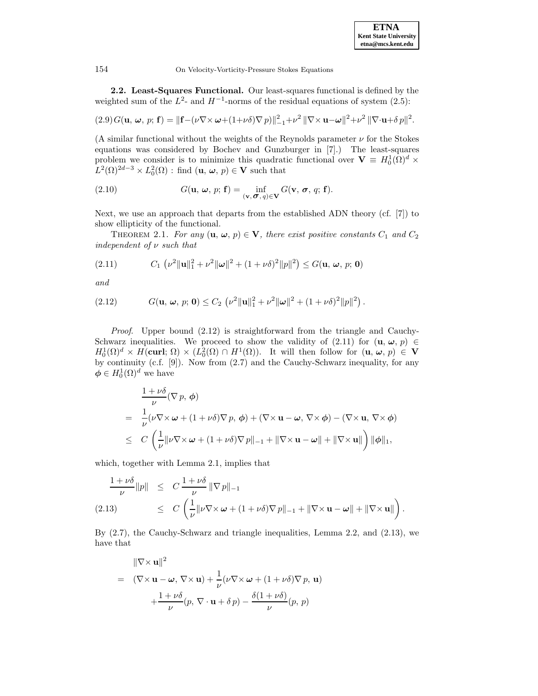**2.2. Least-Squares Functional.** Our least-squares functional is defined by the weighted sum of the  $L^2$ - and  $H^{-1}$ -norms of the residual equations of system (2.5):

$$
(2.9) G(\mathbf{u}, \boldsymbol{\omega}, p; \mathbf{f}) = \|\mathbf{f} - (\nu \nabla \times \boldsymbol{\omega} + (1 + \nu \delta) \nabla p)\|_{-1}^2 + \nu^2 \|\nabla \times \mathbf{u} - \boldsymbol{\omega}\|^2 + \nu^2 \|\nabla \cdot \mathbf{u} + \delta p\|^2.
$$

(A similar functional without the weights of the Reynolds parameter  $\nu$  for the Stokes equations was considered by Bochev and Gunzburger in [7].) The least-squares problem we consider is to minimize this quadratic functional over  $V = H_0^1(\Omega)^d \times$  $L^2(\Omega)^{2d-3} \times L_0^2(\Omega)$ : find  $(\mathbf{u}, \boldsymbol{\omega}, p) \in \mathbf{V}$  such that

(2.10) 
$$
G(\mathbf{u}, \boldsymbol{\omega}, p; \mathbf{f}) = \inf_{(\mathbf{v}, \boldsymbol{\sigma}, q) \in \mathbf{V}} G(\mathbf{v}, \boldsymbol{\sigma}, q; \mathbf{f}).
$$

Next, we use an approach that departs from the established ADN theory (cf. [7]) to show ellipticity of the functional.

THEOREM 2.1. For any  $(\mathbf{u}, \boldsymbol{\omega}, p) \in \mathbf{V}$ , there exist positive constants  $C_1$  and  $C_2$ independent of  $\nu$  such that

(2.11) 
$$
C_1 \left( \nu^2 \| \mathbf{u} \|_1^2 + \nu^2 \| \boldsymbol{\omega} \|^2 + (1 + \nu \delta)^2 \| p \|^2 \right) \le G(\mathbf{u}, \, \boldsymbol{\omega}, \, p; \, \mathbf{0})
$$

and

(2.12) 
$$
G(\mathbf{u}, \, \boldsymbol{\omega}, \, p; \, \mathbf{0}) \leq C_2 \, \left( \nu^2 \|\mathbf{u}\|_1^2 + \nu^2 \|\boldsymbol{\omega}\|^2 + (1 + \nu \delta)^2 \|p\|^2 \right).
$$

Proof. Upper bound (2.12) is straightforward from the triangle and Cauchy-Schwarz inequalities. We proceed to show the validity of  $(2.11)$  for  $(\mathbf{u}, \boldsymbol{\omega}, p) \in$  $H_0^1(\Omega)^d \times H(\text{curl}; \Omega) \times (L_0^2(\Omega) \cap H^1(\Omega)).$  It will then follow for  $(\mathbf{u}, \boldsymbol{\omega}, p) \in \mathbf{V}$ by continuity (c.f. [9]). Now from (2.7) and the Cauchy-Schwarz inequality, for any  $\boldsymbol{\phi} \in H_0^1(\Omega)^d$  we have

$$
\frac{1+\nu\delta}{\nu}(\nabla p, \phi)
$$
\n
$$
= \frac{1}{\nu}(\nu\nabla\times\omega + (1+\nu\delta)\nabla p, \phi) + (\nabla\times\mathbf{u} - \omega, \nabla\times\phi) - (\nabla\times\mathbf{u}, \nabla\times\phi)
$$
\n
$$
\leq C\left(\frac{1}{\nu}\|\nu\nabla\times\omega + (1+\nu\delta)\nabla p\|_{-1} + \|\nabla\times\mathbf{u} - \omega\| + \|\nabla\times\mathbf{u}\|\right)\|\phi\|_{1},
$$

which, together with Lemma 2.1, implies that

$$
\frac{1+\nu\delta}{\nu}\|p\| \leq C \frac{1+\nu\delta}{\nu} \|\nabla p\|_{-1}
$$
\n(2.13) 
$$
\leq C \left(\frac{1}{\nu} \|\nu \nabla \times \omega + (1+\nu\delta) \nabla p\|_{-1} + \|\nabla \times \mathbf{u} - \omega\| + \|\nabla \times \mathbf{u}\| \right).
$$

By (2.7), the Cauchy-Schwarz and triangle inequalities, Lemma 2.2, and (2.13), we have that

$$
\|\nabla \times \mathbf{u}\|^2
$$
  
=  $(\nabla \times \mathbf{u} - \boldsymbol{\omega}, \nabla \times \mathbf{u}) + \frac{1}{\nu} (\nu \nabla \times \boldsymbol{\omega} + (1 + \nu \delta) \nabla p, \mathbf{u})$   
+  $\frac{1 + \nu \delta}{\nu} (p, \nabla \cdot \mathbf{u} + \delta p) - \frac{\delta (1 + \nu \delta)}{\nu} (p, p)$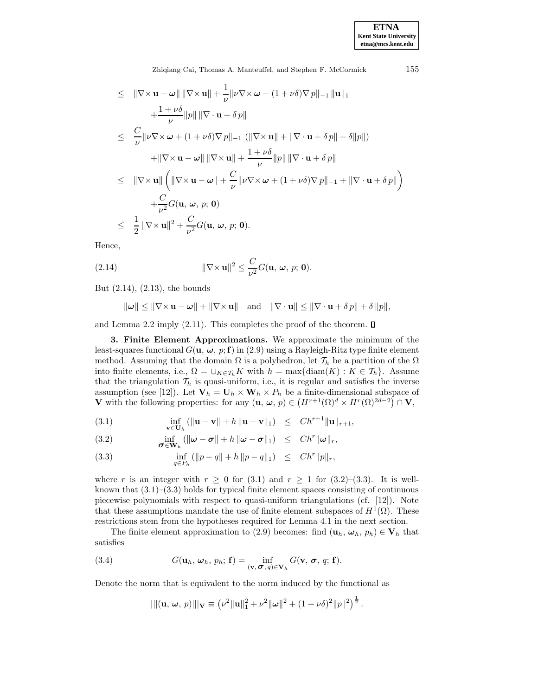Zhiqiang Cai, Thomas A. Manteuffel, and Stephen F. McCormick 155

$$
\leq \|\nabla \times \mathbf{u} - \boldsymbol{\omega}\| \|\nabla \times \mathbf{u}\| + \frac{1}{\nu} \|\nu \nabla \times \boldsymbol{\omega} + (1 + \nu \delta) \nabla p\|_{-1} \|\mathbf{u}\|_{1} \n+ \frac{1 + \nu \delta}{\nu} \|p\| \|\nabla \cdot \mathbf{u} + \delta p\| \n\leq \frac{C}{\nu} \|\nu \nabla \times \boldsymbol{\omega} + (1 + \nu \delta) \nabla p\|_{-1} (\|\nabla \times \mathbf{u}\| + \|\nabla \cdot \mathbf{u} + \delta p\| + \delta \|p\|) \n+ \|\nabla \times \mathbf{u} - \boldsymbol{\omega}\| \|\nabla \times \mathbf{u}\| + \frac{1 + \nu \delta}{\nu} \|p\| \|\nabla \cdot \mathbf{u} + \delta p\| \n\leq \|\nabla \times \mathbf{u}\| \left(\|\nabla \times \mathbf{u} - \boldsymbol{\omega}\| + \frac{C}{\nu} \|\nu \nabla \times \boldsymbol{\omega} + (1 + \nu \delta) \nabla p\|_{-1} + \|\nabla \cdot \mathbf{u} + \delta p\|\right) \n+ \frac{C}{\nu^2} G(\mathbf{u}, \boldsymbol{\omega}, p; \mathbf{0}) \n\leq \frac{1}{2} \|\nabla \times \mathbf{u}\|^2 + \frac{C}{\nu^2} G(\mathbf{u}, \boldsymbol{\omega}, p; \mathbf{0}).
$$

Hence,

(2.14) 
$$
\|\nabla \times \mathbf{u}\|^2 \leq \frac{C}{\nu^2} G(\mathbf{u}, \, \boldsymbol{\omega}, \, p; \, \mathbf{0}).
$$

But (2.14), (2.13), the bounds

$$
\|\boldsymbol{\omega}\| \le \|\nabla \times \mathbf{u} - \boldsymbol{\omega}\| + \|\nabla \times \mathbf{u}\| \quad \text{and} \quad \|\nabla \cdot \mathbf{u}\| \le \|\nabla \cdot \mathbf{u} + \delta p\| + \delta \|p\|,
$$

and Lemma 2.2 imply (2.11). This completes the proof of the theorem.  $\Box$ 

**3. Finite Element Approximations.** We approximate the minimum of the least-squares functional  $G(\mathbf{u}, \boldsymbol{\omega}, p; \mathbf{f})$  in (2.9) using a Rayleigh-Ritz type finite element method. Assuming that the domain  $\Omega$  is a polyhedron, let  $\mathcal{T}_h$  be a partition of the  $\Omega$ into finite elements, i.e.,  $\Omega = \bigcup_{K \in \mathcal{T}_h} K$  with  $h = \max\{\text{diam}(K) : K \in \mathcal{T}_h\}$ . Assume that the triangulation  $\mathcal{T}_h$  is quasi-uniform, i.e., it is regular and satisfies the inverse assumption (see [12]). Let  $\mathbf{V}_h = \mathbf{U}_h \times \mathbf{W}_h \times P_h$  be a finite-dimensional subspace of **V** with the following properties: for any  $(\mathbf{u}, \boldsymbol{\omega}, p) \in (H^{r+1}(\Omega)^d \times H^r(\Omega)^{2d-2}) \cap \mathbf{V}$ ,

(3.1) 
$$
\inf_{\mathbf{v}\in\mathbf{U}_h} (||\mathbf{u}-\mathbf{v}|| + h||\mathbf{u}-\mathbf{v}||_1) \leq Ch^{r+1}||\mathbf{u}||_{r+1},
$$

(3.2) 
$$
\inf_{\sigma \in \mathbf{W}_h} (\|\boldsymbol{\omega} - \sigma\| + h \|\boldsymbol{\omega} - \sigma\|_1) \leq Ch^r \|\boldsymbol{\omega}\|_r,
$$

(3.3) 
$$
\inf_{q \in P_h} (||p - q|| + h||p - q||_1) \leq Ch^r ||p||_r,
$$

where r is an integer with  $r \ge 0$  for (3.1) and  $r \ge 1$  for (3.2)–(3.3). It is wellknown that  $(3.1)$ – $(3.3)$  holds for typical finite element spaces consisting of continuous piecewise polynomials with respect to quasi-uniform triangulations (cf. [12]). Note that these assumptions mandate the use of finite element subspaces of  $H^1(\Omega)$ . These restrictions stem from the hypotheses required for Lemma 4.1 in the next section.

The finite element approximation to (2.9) becomes: find  $(\mathbf{u}_h, \boldsymbol{\omega}_h, p_h) \in \mathbf{V}_h$  that satisfies

(3.4) 
$$
G(\mathbf{u}_h, \boldsymbol{\omega}_h, p_h; \mathbf{f}) = \inf_{(\mathbf{v}, \boldsymbol{\sigma}, q) \in \mathbf{V}_h} G(\mathbf{v}, \boldsymbol{\sigma}, q; \mathbf{f}).
$$

Denote the norm that is equivalent to the norm induced by the functional as

$$
|||(\mathbf{u}, \, \boldsymbol{\omega}, \, p)|||_{\mathbf{V}} \equiv (\nu^2 \|\mathbf{u}\|_1^2 + \nu^2 \|\boldsymbol{\omega}\|^2 + (1 + \nu \delta)^2 \|p\|^2)^{\frac{1}{2}}.
$$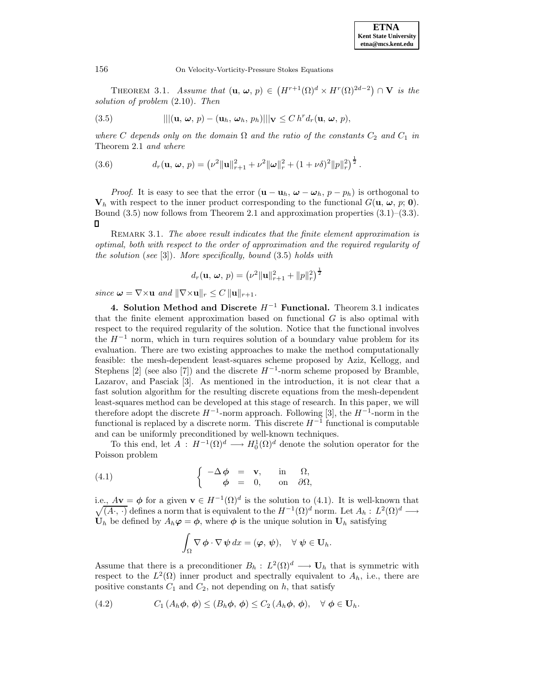THEOREM 3.1. Assume that  $(\mathbf{u}, \boldsymbol{\omega}, p) \in (H^{r+1}(\Omega)^d \times H^r(\Omega)^{2d-2}) \cap \mathbf{V}$  is the solution of problem (2.10). Then

(3.5) 
$$
|||(\mathbf{u}, \boldsymbol{\omega}, p) - (\mathbf{u}_h, \boldsymbol{\omega}_h, p_h)||| \mathbf{v} \leq C h^r d_r(\mathbf{u}, \boldsymbol{\omega}, p),
$$

where C depends only on the domain  $\Omega$  and the ratio of the constants  $C_2$  and  $C_1$  in Theorem 2.1 and where

(3.6) 
$$
d_r(\mathbf{u}, \omega, p) = (\nu^2 \|\mathbf{u}\|_{r+1}^2 + \nu^2 \|\omega\|_r^2 + (1 + \nu \delta)^2 \|p\|_r^2)^{\frac{1}{2}}.
$$

*Proof.* It is easy to see that the error  $(\mathbf{u} - \mathbf{u}_h, \boldsymbol{\omega} - \boldsymbol{\omega}_h, p - p_h)$  is orthogonal to  $V_h$  with respect to the inner product corresponding to the functional  $G(\mathbf{u}, \boldsymbol{\omega}, p; \mathbf{0})$ . Bound  $(3.5)$  now follows from Theorem 2.1 and approximation properties  $(3.1)$ – $(3.3)$ . П

REMARK 3.1. The above result indicates that the finite element approximation is optimal, both with respect to the order of approximation and the required regularity of the solution (see  $[3]$ ). More specifically, bound  $(3.5)$  holds with

$$
d_r(\mathbf{u}, \, \boldsymbol{\omega}, \, p) = \left(\nu^2 \|\mathbf{u}\|_{r+1}^2 + \|p\|_r^2\right)^{\frac{1}{2}}
$$

since  $\boldsymbol{\omega} = \nabla \times \mathbf{u}$  and  $\|\nabla \times \mathbf{u}\|_r \leq C \|\mathbf{u}\|_{r+1}$ .

**4. Solution Method and Discrete** H−<sup>1</sup> **Functional.** Theorem 3.1 indicates that the finite element approximation based on functional  $G$  is also optimal with respect to the required regularity of the solution. Notice that the functional involves the  $H^{-1}$  norm, which in turn requires solution of a boundary value problem for its evaluation. There are two existing approaches to make the method computationally feasible: the mesh-dependent least-squares scheme proposed by Aziz, Kellogg, and Stephens [2] (see also [7]) and the discrete  $H^{-1}$ -norm scheme proposed by Bramble, Lazarov, and Pasciak [3]. As mentioned in the introduction, it is not clear that a fast solution algorithm for the resulting discrete equations from the mesh-dependent least-squares method can be developed at this stage of research. In this paper, we will therefore adopt the discrete  $H^{-1}$ -norm approach. Following [3], the  $H^{-1}$ -norm in the functional is replaced by a discrete norm. This discrete  $H^{-1}$  functional is computable and can be uniformly preconditioned by well-known techniques.

To this end, let  $A: H^{-1}(\Omega)^d \longrightarrow H_0^1(\Omega)^d$  denote the solution operator for the Poisson problem

(4.1) 
$$
\begin{cases}\n-\Delta \phi = \mathbf{v}, & \text{in } \Omega, \\
\phi = 0, & \text{on } \partial \Omega,\n\end{cases}
$$

i.e.,  $A$ **v** =  $\phi$  for a given **v**  $\in$   $H^{-1}(\Omega)^d$  is the solution to (4.1). It is well-known that  $\sqrt{(A\cdot,\cdot)}$  defines a norm that is equivalent to the  $H^{-1}(\Omega)^d$  norm. Let  $A_h: L^2(\Omega)^d \longrightarrow$  $\mathbf{U}_h$  be defined by  $A_h\boldsymbol{\varphi}=\boldsymbol{\phi}$ , where  $\boldsymbol{\phi}$  is the unique solution in  $\mathbf{U}_h$  satisfying

$$
\int_{\Omega} \nabla \phi \cdot \nabla \psi \, dx = (\varphi, \psi), \quad \forall \psi \in \mathbf{U}_h.
$$

Assume that there is a preconditioner  $B_h: L^2(\Omega)^d \longrightarrow \mathbf{U}_h$  that is symmetric with respect to the  $L^2(\Omega)$  inner product and spectrally equivalent to  $A_h$ , i.e., there are positive constants  $C_1$  and  $C_2$ , not depending on h, that satisfy

(4.2) 
$$
C_1(A_h\phi,\phi) \leq (B_h\phi,\phi) \leq C_2(A_h\phi,\phi), \quad \forall \phi \in \mathbf{U}_h.
$$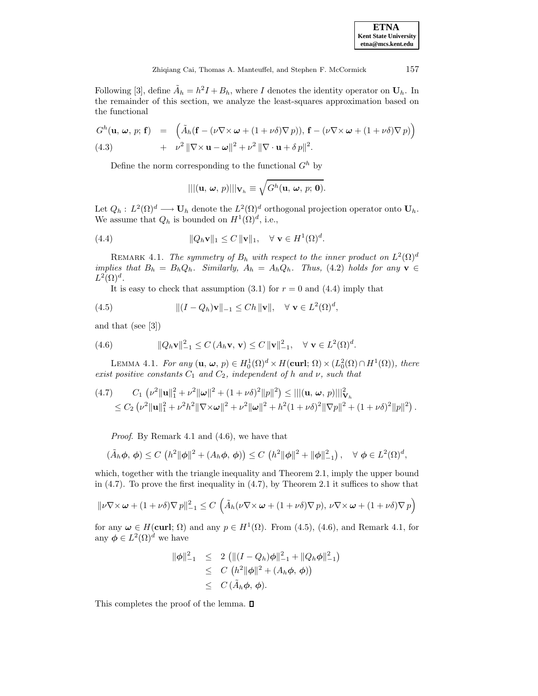**ETNA Kent State University etna@mcs.kent.edu**

Following [3], define  $\tilde{A}_h = h^2 I + B_h$ , where I denotes the identity operator on  $U_h$ . In the remainder of this section, we analyze the least-squares approximation based on the functional

$$
G^{h}(\mathbf{u}, \omega, p; \mathbf{f}) = \left( \tilde{A}_{h}(\mathbf{f} - (\nu \nabla \times \omega + (1 + \nu \delta) \nabla p)), \mathbf{f} - (\nu \nabla \times \omega + (1 + \nu \delta) \nabla p) \right) + \nu^{2} \|\nabla \times \mathbf{u} - \omega\|^{2} + \nu^{2} \|\nabla \cdot \mathbf{u} + \delta p\|^{2}.
$$

Define the norm corresponding to the functional  $G^h$  by

$$
|||(\mathbf{u},\,\boldsymbol{\omega},\,p)|||_{\mathbf{V}_h}\equiv \sqrt{G^h(\mathbf{u},\,\boldsymbol{\omega},\,p;\,\mathbf{0})}.
$$

Let  $Q_h: L^2(\Omega)^d \longrightarrow \mathbf{U}_h$  denote the  $L^2(\Omega)^d$  orthogonal projection operator onto  $\mathbf{U}_h$ . We assume that  $Q_h$  is bounded on  $H^1(\Omega)^d$ , i.e.,

(4.4) 
$$
\|Q_h \mathbf{v}\|_1 \leq C \|\mathbf{v}\|_1, \quad \forall \ \mathbf{v} \in H^1(\Omega)^d.
$$

REMARK 4.1. The symmetry of  $B_h$  with respect to the inner product on  $L^2(\Omega)^d$ implies that  $B_h = B_h Q_h$ . Similarly,  $A_h = A_h Q_h$ . Thus, (4.2) holds for any **v** ∈  $L^2(\Omega)^d$ .

It is easy to check that assumption  $(3.1)$  for  $r = 0$  and  $(4.4)$  imply that

(4.5) 
$$
\| (I - Q_h) \mathbf{v} \|_{-1} \leq Ch \| \mathbf{v} \|, \quad \forall \ \mathbf{v} \in L^2(\Omega)^d,
$$

and that (see [3])

(4.6) 
$$
||Q_h \mathbf{v}||_{-1}^2 \leq C(A_h \mathbf{v}, \mathbf{v}) \leq C ||\mathbf{v}||_{-1}^2, \quad \forall \mathbf{v} \in L^2(\Omega)^d.
$$

LEMMA 4.1. For any  $(\mathbf{u}, \boldsymbol{\omega}, p) \in H_0^1(\Omega)^d \times H(\text{curl}; \Omega) \times (L_0^2(\Omega) \cap H^1(\Omega)),$  there exist positive constants  $C_1$  and  $C_2$ , independent of h and  $\nu$ , such that

$$
(4.7) \tC_1 \t(\nu^2 \|\mathbf{u}\|_1^2 + \nu^2 \|\boldsymbol{\omega}\|^2 + (1 + \nu \delta)^2 \|\boldsymbol{p}\|^2) \le |||(\mathbf{u}, \boldsymbol{\omega}, \boldsymbol{p})|||_{\mathbf{V}_h}^2
$$
  

$$
\le C_2 \t(\nu^2 \|\mathbf{u}\|_1^2 + \nu^2 \hbar^2 \|\nabla \times \boldsymbol{\omega}\|^2 + \nu^2 \|\boldsymbol{\omega}\|^2 + \hbar^2 (1 + \nu \delta)^2 \|\nabla \boldsymbol{p}\|^2 + (1 + \nu \delta)^2 \|\boldsymbol{p}\|^2).
$$

Proof. By Remark 4.1 and (4.6), we have that

$$
(\tilde{A}_h \phi, \phi) \le C \left( h^2 \|\phi\|^2 + (A_h \phi, \phi) \right) \le C \left( h^2 \|\phi\|^2 + \|\phi\|_{-1}^2 \right), \quad \forall \phi \in L^2(\Omega)^d,
$$

which, together with the triangle inequality and Theorem 2.1, imply the upper bound in  $(4.7)$ . To prove the first inequality in  $(4.7)$ , by Theorem 2.1 it suffices to show that

$$
\|\nu \nabla \times \boldsymbol{\omega} + (1 + \nu \delta) \nabla p\|_{-1}^2 \le C \left( \tilde{A}_h(\nu \nabla \times \boldsymbol{\omega} + (1 + \nu \delta) \nabla p), \nu \nabla \times \boldsymbol{\omega} + (1 + \nu \delta) \nabla p \right)
$$

for any  $\omega \in H(\text{curl}; \Omega)$  and any  $p \in H^1(\Omega)$ . From (4.5), (4.6), and Remark 4.1, for any  $\phi \in L^2(\Omega)^d$  we have

$$
\|\phi\|_{-1}^2 \le 2 \left( \| (I - Q_h)\phi \|_{-1}^2 + \|Q_h\phi\|_{-1}^2 \right)
$$
  
\n
$$
\le C \left( h^2 \|\phi\|^2 + (A_h\phi, \phi) \right)
$$
  
\n
$$
\le C (\tilde{A}_h\phi, \phi).
$$

This completes the proof of the lemma.  $\square$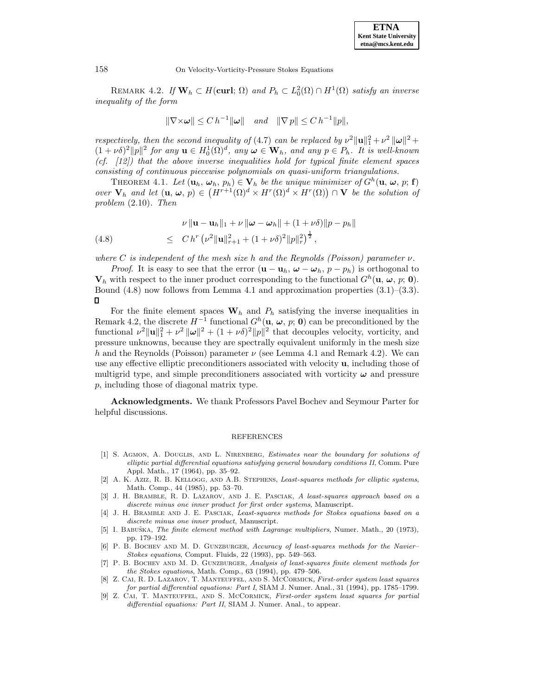REMARK 4.2. If  $\mathbf{W}_h \subset H(\textbf{curl}; \Omega)$  and  $P_h \subset L_0^2(\Omega) \cap H^1(\Omega)$  satisfy an inverse inequality of the form

$$
\|\nabla \times \boldsymbol{\omega}\| \le C h^{-1} \|\boldsymbol{\omega}\| \quad \text{and} \quad \|\nabla p\| \le C h^{-1} \|p\|,
$$

respectively, then the second inequality of (4.7) can be replaced by  $\nu^2 \|\mathbf{u}\|_1^2 + \nu^2 \|\boldsymbol{\omega}\|^2 +$  $(1 + \nu \delta)^2 ||p||^2$  for any  $\mathbf{u} \in H_0^1(\Omega)^d$ , any  $\omega \in \mathbf{W}_h$ , and any  $p \in P_h$ . It is well-known  $(cf. [12])$  that the above inverse inequalities hold for typical finite element spaces consisting of continuous piecewise polynomials on quasi-uniform triangulations.

THEOREM 4.1. Let  $(\mathbf{u}_h, \boldsymbol{\omega}_h, p_h) \in \mathbf{V}_h$  be the unique minimizer of  $G^h(\mathbf{u}, \boldsymbol{\omega}, p; \mathbf{f})$ over  $\mathbf{V}_h$  and let  $(\mathbf{u}, \boldsymbol{\omega}, p) \in (H^{r+1}(\Omega)^d \times H^r(\Omega)^d \times H^r(\Omega)) \cap \mathbf{V}$  be the solution of problem (2.10). Then

(4.8) 
$$
\nu \|\mathbf{u} - \mathbf{u}_h\|_1 + \nu \|\boldsymbol{\omega} - \boldsymbol{\omega}_h\| + (1 + \nu \delta) \|p - p_h\|
$$

$$
\leq C h^r \left(\nu^2 \|\mathbf{u}\|_{r+1}^2 + (1 + \nu \delta)^2 \|p\|_r^2\right)^{\frac{1}{2}},
$$

where C is independent of the mesh size h and the Reynolds (Poisson) parameter  $\nu$ .

*Proof.* It is easy to see that the error  $(\mathbf{u} - \mathbf{u}_h, \omega - \omega_h, p - p_h)$  is orthogonal to  $\mathbf{V}_h$  with respect to the inner product corresponding to the functional  $G^h(\mathbf{u}, \boldsymbol{\omega}, p; \mathbf{0})$ . Bound  $(4.8)$  now follows from Lemma 4.1 and approximation properties  $(3.1)$ – $(3.3)$ .  $\Box$ 

For the finite element spaces  $W_h$  and  $P_h$  satisfying the inverse inequalities in Remark 4.2, the discrete  $H^{-1}$  functional  $G^h(\mathbf{u}, \boldsymbol{\omega}, p; \mathbf{0})$  can be preconditioned by the functional  $\nu^2 \|\mathbf{u}\|_1^2 + \nu^2 \|\boldsymbol{\omega}\|^2 + (1 + \nu \delta)^2 \|p\|^2$  that decouples velocity, vorticity, and pressure unknowns, because they are spectrally equivalent uniformly in the mesh size h and the Reynolds (Poisson) parameter  $\nu$  (see Lemma 4.1 and Remark 4.2). We can use any effective elliptic preconditioners associated with velocity **u**, including those of multigrid type, and simple preconditioners associated with vorticity  $\omega$  and pressure p, including those of diagonal matrix type.

**Acknowledgments.** We thank Professors Pavel Bochev and Seymour Parter for helpful discussions.

## REFERENCES

- [1] S. AGMON, A. DOUGLIS, AND L. NIRENBERG, *Estimates near the boundary for solutions of* elliptic partial differential equations satisfying general boundary conditions II, Comm. Pure Appl. Math., 17 (1964), pp. 35–92.
- [2] A. K. Aziz, R. B. Kellogg, and A.B. Stephens, Least-squares methods for elliptic systems, Math. Comp., 44 (1985), pp. 53–70.
- [3] J. H. Bramble, R. D. Lazarov, and J. E. Pasciak, A least-squares approach based on a discrete minus one inner product for first order systems, Manuscript.
- [4] J. H. BRAMBLE AND J. E. PASCIAK, Least-squares methods for Stokes equations based on a discrete minus one inner product, Manuscript.
- [5] I. Babuška, The finite element method with Lagrange multipliers, Numer. Math., 20 (1973), pp. 179–192.
- [6] P. B. BOCHEV AND M. D. GUNZBURGER, Accuracy of least-squares methods for the Navier-Stokes equations, Comput. Fluids, 22 (1993), pp. 549–563.
- [7] P. B. BOCHEV AND M. D. GUNZBURGER, Analysis of least-squares finite element methods for the Stokes equations, Math. Comp., 63 (1994), pp. 479–506.
- [8] Z. Cai, R. D. Lazarov, T. Manteuffel, and S. McCormick, First-order system least squares for partial differential equations: Part I, SIAM J. Numer. Anal., 31 (1994), pp. 1785–1799.
- [9] Z. Cai, T. Manteuffel, and S. McCormick, First-order system least squares for partial differential equations: Part II, SIAM J. Numer. Anal., to appear.